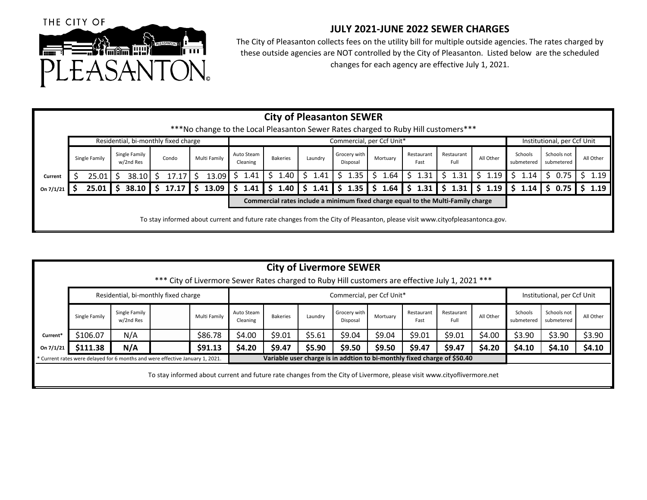

## **JULY 2021‐JUNE 2022 SEWER CHARGES**

The City of Pleasanton collects fees on the utility bill for multiple outside agencies. The rates charged by these outside agencies are NOT controlled by the City of Pleasanton. Listed below are the scheduled changes for each agency are effective July 1, 2021.

|           | <b>City of Pleasanton SEWER</b>                                                                                              |       |                            |       |    |       |  |              |  |                           |  |                 |  |         |                          |                                |                                             |                    |        |           |        |                             |                       |                           |        |  |           |
|-----------|------------------------------------------------------------------------------------------------------------------------------|-------|----------------------------|-------|----|-------|--|--------------|--|---------------------------|--|-----------------|--|---------|--------------------------|--------------------------------|---------------------------------------------|--------------------|--------|-----------|--------|-----------------------------|-----------------------|---------------------------|--------|--|-----------|
|           | ***No change to the Local Pleasanton Sewer Rates charged to Ruby Hill customers***                                           |       |                            |       |    |       |  |              |  |                           |  |                 |  |         |                          |                                |                                             |                    |        |           |        |                             |                       |                           |        |  |           |
|           | Residential, bi-monthly fixed charge                                                                                         |       |                            |       |    |       |  |              |  | Commercial, per Ccf Unit* |  |                 |  |         |                          |                                |                                             |                    |        |           |        | Institutional, per Ccf Unit |                       |                           |        |  |           |
|           | Single Family                                                                                                                |       | Single Family<br>w/2nd Res |       |    | Condo |  | Multi Family |  | Auto Steam<br>Cleaning    |  | <b>Bakeries</b> |  | Laundry | Grocery with<br>Disposal | Mortuary                       | Restaurant<br>Fast                          | Restaurant<br>Full |        | All Other |        |                             | Schools<br>submetered | Schools not<br>submetered |        |  | All Other |
| Current   |                                                                                                                              | 25.01 |                            | 38.10 |    | 17.17 |  | 13.09        |  | 1.41                      |  | 1.40            |  | \$1.41  | 1.35<br>-\$              | 1.64<br>S.                     | 1.31<br>S.                                  |                    | \$1.31 |           | \$1.19 |                             | 1.14                  | S.                        | 0.75   |  | \$1.19    |
| On 7/1/21 |                                                                                                                              | 25.01 |                            | 38.10 | S. | 17.17 |  | \$13.09      |  | 1.41                      |  |                 |  |         |                          | $1.40$ \$ 1.41 \$ 1.35 \$ 1.64 | $\frac{1}{2}$ \$ 1.31 $\frac{1}{2}$ \$ 1.19 |                    |        |           |        |                             | 1.14                  |                           | \$0.75 |  | 1.19      |
|           | Commercial rates include a minimum fixed charge equal to the Multi-Family charge                                             |       |                            |       |    |       |  |              |  |                           |  |                 |  |         |                          |                                |                                             |                    |        |           |        |                             |                       |                           |        |  |           |
|           | To stay informed about current and future rate changes from the City of Pleasanton, please visit www.cityofpleasantonca.gov. |       |                            |       |    |       |  |              |  |                           |  |                 |  |         |                          |                                |                                             |                    |        |           |        |                             |                       |                           |        |  |           |

|           | <b>City of Livermore SEWER</b><br>*** City of Livermore Sewer Rates charged to Ruby Hill customers are effective July 1, 2021 ***                         |                                      |              |                        |                 |                             |                          |          |                    |                    |           |                       |                           |           |  |
|-----------|-----------------------------------------------------------------------------------------------------------------------------------------------------------|--------------------------------------|--------------|------------------------|-----------------|-----------------------------|--------------------------|----------|--------------------|--------------------|-----------|-----------------------|---------------------------|-----------|--|
|           |                                                                                                                                                           | Residential, bi-monthly fixed charge |              |                        |                 | Institutional, per Ccf Unit |                          |          |                    |                    |           |                       |                           |           |  |
|           | Single Family                                                                                                                                             | Single Family<br>w/2nd Res           | Multi Family | Auto Steam<br>Cleaning | <b>Bakeries</b> | Laundry                     | Grocery with<br>Disposal | Mortuary | Restaurant<br>Fast | Restaurant<br>Full | All Other | Schools<br>submetered | Schools not<br>submetered | All Other |  |
| Current*  | \$106.07                                                                                                                                                  | N/A                                  | \$86.78      | \$4.00                 | \$9.01          | \$5.61                      | \$9.04                   | \$9.04   | \$9.01             | \$9.01             | \$4.00    | \$3.90                | \$3.90                    | \$3.90    |  |
| On 7/1/21 | \$111.38                                                                                                                                                  | N/A                                  | \$91.13      | \$4.20                 | \$9.47          | \$5.90                      | \$9.50                   | \$9.50   | \$9.47             | \$9.47             | \$4.20    | \$4.10                | \$4.10                    | \$4.10    |  |
|           | Variable user charge is in addtion to bi-monthly fixed charge of \$50.40<br>* Current rates were delayed for 6 months and were effective January 1, 2021. |                                      |              |                        |                 |                             |                          |          |                    |                    |           |                       |                           |           |  |
|           | To stay informed about current and future rate changes from the City of Livermore, please visit www.cityoflivermore.net                                   |                                      |              |                        |                 |                             |                          |          |                    |                    |           |                       |                           |           |  |